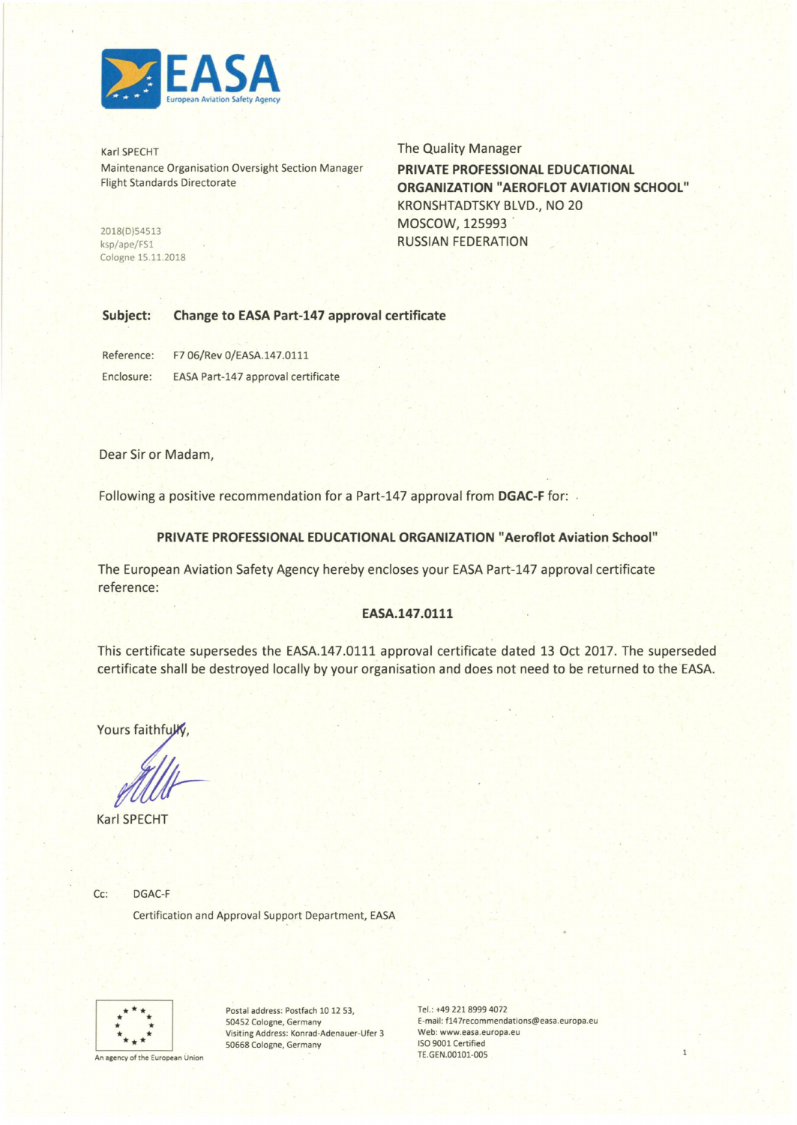

Karl SPECHT Maintenance Organisation Oversight Section Manager Flight Standards Directorate

2018(D)54513 ksp/ape/FSl Cologne 15.11.2018 The Quality Manager **PRIVATE PROFESSIONAL EDUCATIONAL ORGANIZATION "AEROFLOT AVIATION SCHOOL"**  KRONSHTADTSKY BLVD., NO 20

MOSCOW, 125993 RUSSIAN FEDERATION

## **Subject: Change to EASA Part-147 approval certificate**

Reference: F7 06/Rev 0/EASA.147.0111 Enclosure: EASA Part-147 approval certificate

Dear Sir or Madam,

Following a positive recommendation for a Part-147 approval from DGAC-F for:

### **PRIVATE PROFESSIONAL EDUCATIONAL ORGANIZATION "Aeroflot Aviation School"**

The European Aviation Safety Agency hereby encloses your EASA Part-147 approval certificate reference:

### **EASA.147 .0111**

This certificate supersedes the EASA.147.0111 approval certificate dated 13 Oct 2017. The superseded certificate shall be destroyed locally by your organisation and does not need to be returned to the EASA.

Yours faithfully

Karl SPECHT

Cc: DGAC-F

Certification and Approval Support Department, EASA



Postal address: Postfach 10 12 53, 50452 Cologne, Germany Visiting Address: Konrad-Adenauer-Ufer 3 50668 Cologne, Germany

Tel.: +49 221 8999 4072 E-mail: f14 7recommendations@easa.europa.eu Web: www.easa.europa.eu ISO 9001 Certified TE.GEN.00101-005

 $\mathbf{1}$